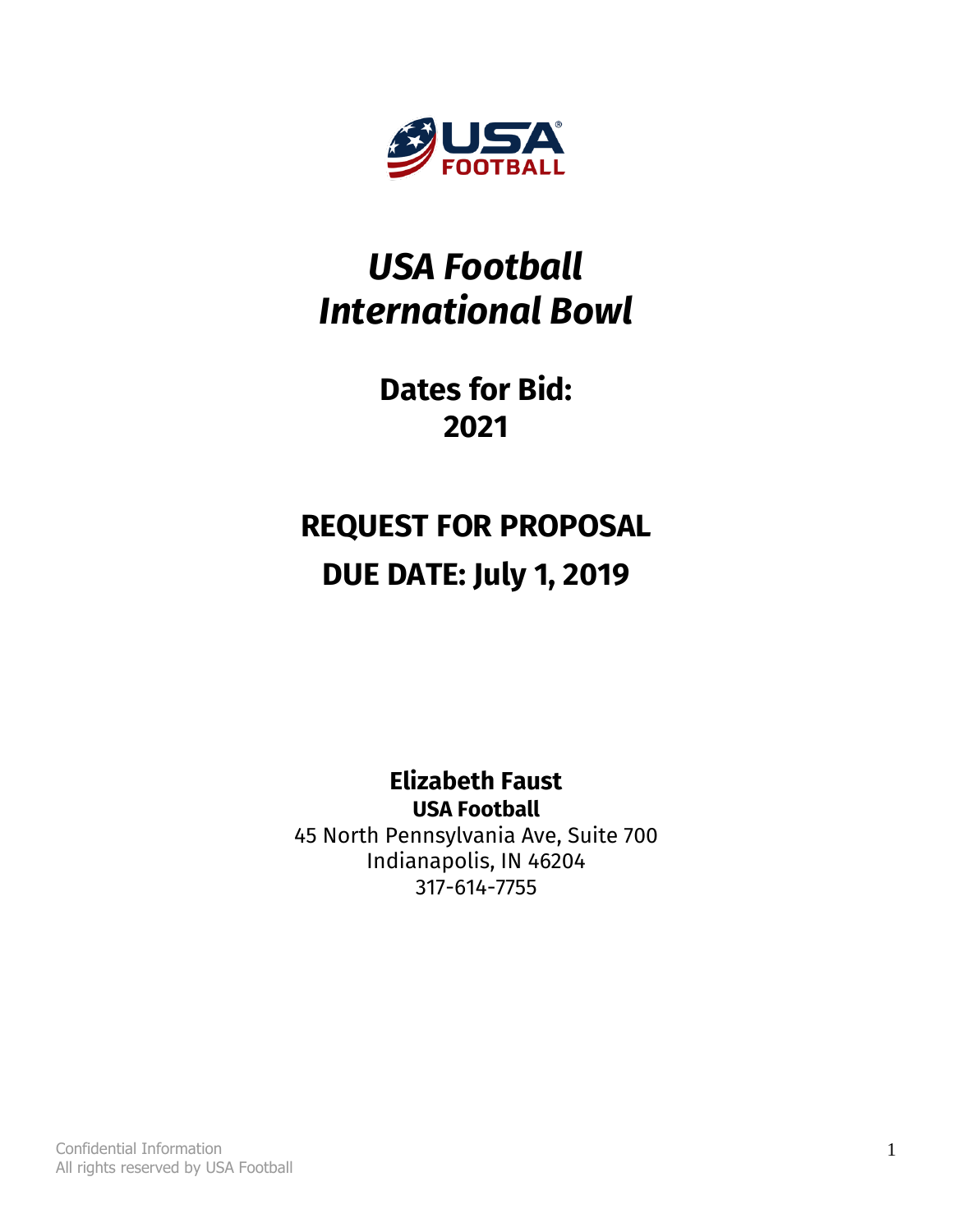

# *USA Football International Bowl*

# **Dates for Bid: 2021**

# **REQUEST FOR PROPOSAL DUE DATE: July 1, 2019**

**Elizabeth Faust USA Football** 45 North Pennsylvania Ave, Suite 700 Indianapolis, IN 46204 317-614-7755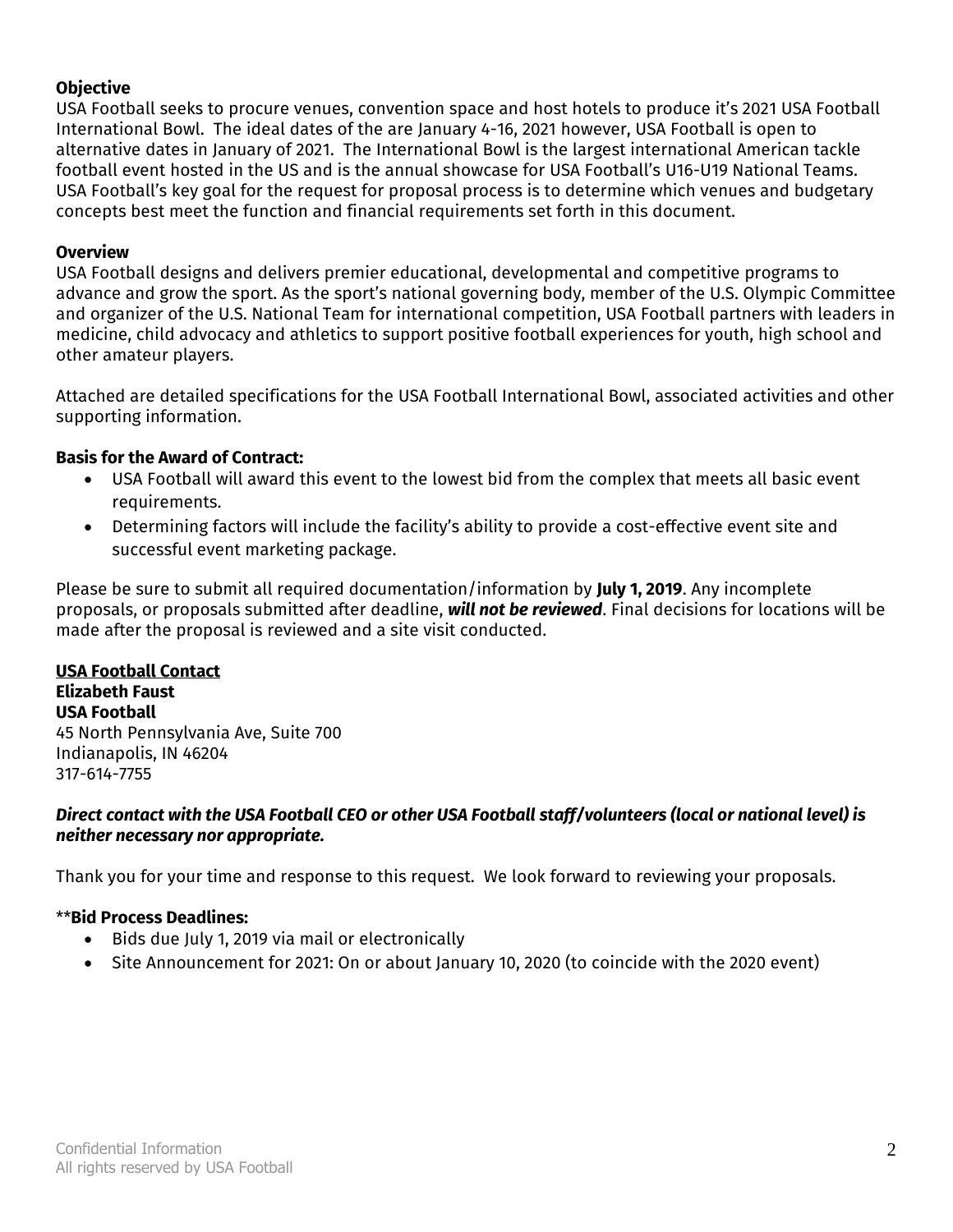### **Objective**

USA Football seeks to procure venues, convention space and host hotels to produce it's 2021 USA Football International Bowl. The ideal dates of the are January 4-16, 2021 however, USA Football is open to alternative dates in January of 2021. The International Bowl is the largest international American tackle football event hosted in the US and is the annual showcase for USA Football's U16-U19 National Teams. USA Football's key goal for the request for proposal process is to determine which venues and budgetary concepts best meet the function and financial requirements set forth in this document.

#### **Overview**

USA Football designs and delivers premier educational, developmental and competitive programs to advance and grow the sport. As the sport's national governing body, member of the U.S. Olympic Committee and organizer of the U.S. National Team for international competition, USA Football partners with leaders in medicine, child advocacy and athletics to support positive football experiences for youth, high school and other amateur players.

Attached are detailed specifications for the USA Football International Bowl, associated activities and other supporting information.

# **Basis for the Award of Contract:**

- USA Football will award this event to the lowest bid from the complex that meets all basic event requirements.
- Determining factors will include the facility's ability to provide a cost-effective event site and successful event marketing package.

Please be sure to submit all required documentation/information by **July 1, 2019**. Any incomplete proposals, or proposals submitted after deadline, *will not be reviewed*. Final decisions for locations will be made after the proposal is reviewed and a site visit conducted.

**USA Football Contact Elizabeth Faust USA Football** 45 North Pennsylvania Ave, Suite 700 Indianapolis, IN 46204 317-614-7755

#### *Direct contact with the USA Football CEO or other USA Football staff/volunteers (local or national level) is neither necessary nor appropriate.*

Thank you for your time and response to this request. We look forward to reviewing your proposals.

# \*\***Bid Process Deadlines:**

- Bids due July 1, 2019 via mail or electronically
- Site Announcement for 2021: On or about January 10, 2020 (to coincide with the 2020 event)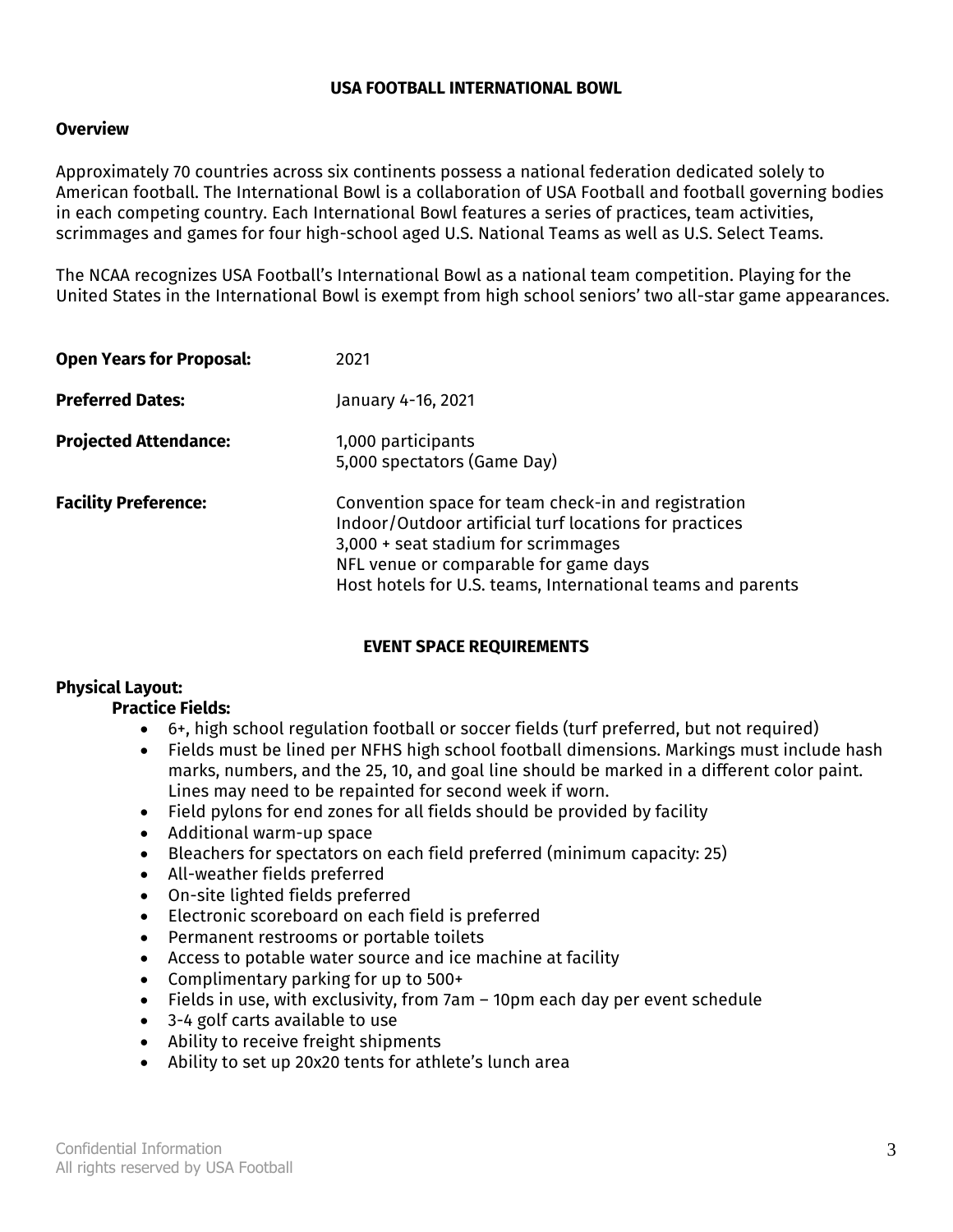#### **USA FOOTBALL INTERNATIONAL BOWL**

#### **Overview**

Approximately 70 countries across six continents possess a national federation dedicated solely to American football. The International Bowl is a collaboration of USA Football and football governing bodies in each competing country. Each International Bowl features a series of practices, team activities, scrimmages and games for four high-school aged U.S. National Teams as well as U.S. Select Teams.

The NCAA recognizes USA Football's International Bowl as a national team competition. Playing for the United States in the International Bowl is exempt from high school seniors' two all-star game appearances.

| <b>Open Years for Proposal:</b> | 2021                                                                                                                                                                                                                                                         |
|---------------------------------|--------------------------------------------------------------------------------------------------------------------------------------------------------------------------------------------------------------------------------------------------------------|
| <b>Preferred Dates:</b>         | January 4-16, 2021                                                                                                                                                                                                                                           |
| <b>Projected Attendance:</b>    | 1,000 participants<br>5,000 spectators (Game Day)                                                                                                                                                                                                            |
| <b>Facility Preference:</b>     | Convention space for team check-in and registration<br>Indoor/Outdoor artificial turf locations for practices<br>3,000 + seat stadium for scrimmages<br>NFL venue or comparable for game days<br>Host hotels for U.S. teams, International teams and parents |

#### **EVENT SPACE REQUIREMENTS**

# **Physical Layout:**

# **Practice Fields:**

- 6+, high school regulation football or soccer fields (turf preferred, but not required)
- Fields must be lined per NFHS high school football dimensions. Markings must include hash marks, numbers, and the 25, 10, and goal line should be marked in a different color paint. Lines may need to be repainted for second week if worn.
- Field pylons for end zones for all fields should be provided by facility
- Additional warm-up space
- Bleachers for spectators on each field preferred (minimum capacity: 25)
- All-weather fields preferred
- On-site lighted fields preferred
- Electronic scoreboard on each field is preferred
- Permanent restrooms or portable toilets
- Access to potable water source and ice machine at facility
- Complimentary parking for up to 500+
- Fields in use, with exclusivity, from 7am 10pm each day per event schedule
- 3-4 golf carts available to use
- Ability to receive freight shipments
- Ability to set up 20x20 tents for athlete's lunch area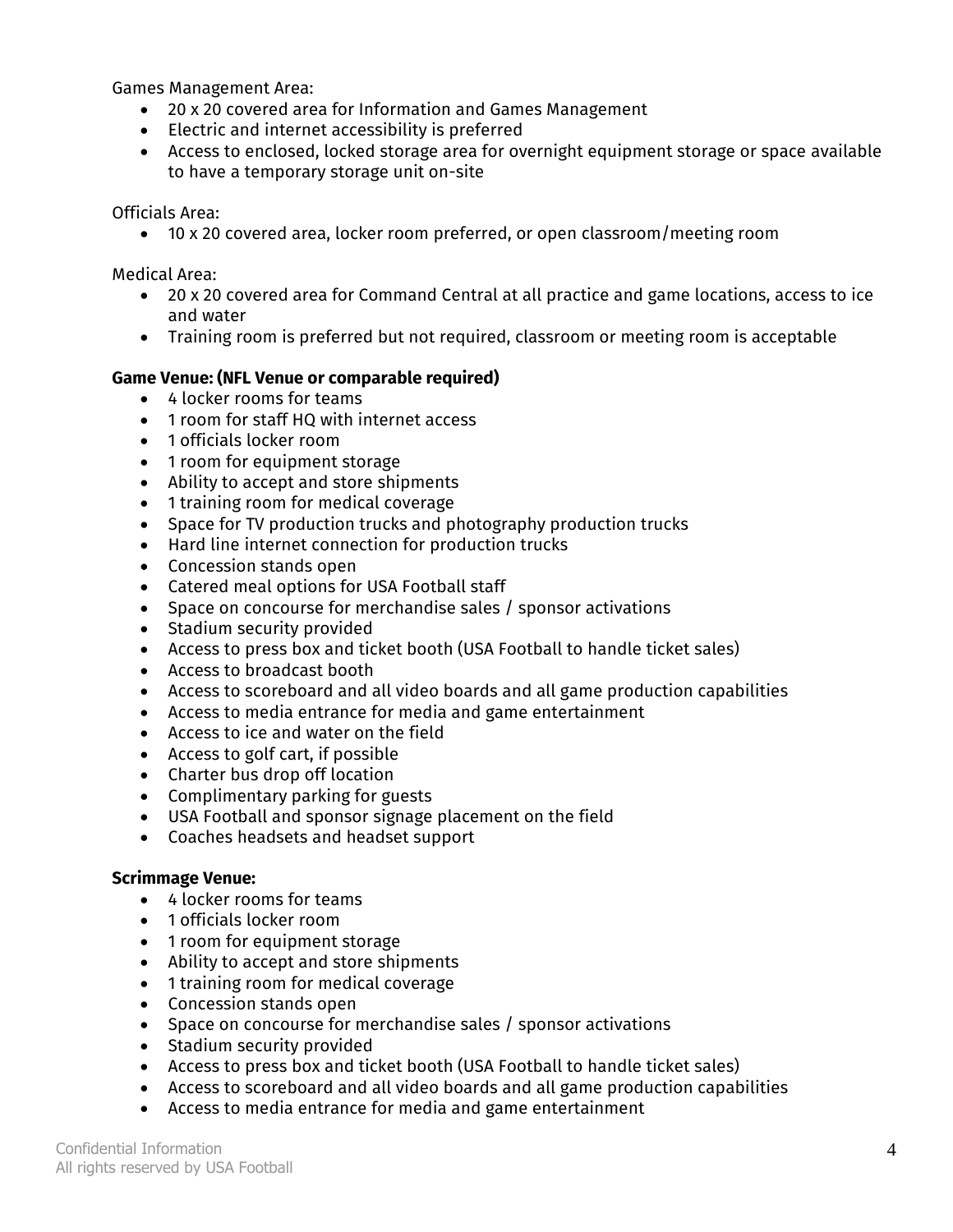Games Management Area:

- 20 x 20 covered area for Information and Games Management
- Electric and internet accessibility is preferred
- Access to enclosed, locked storage area for overnight equipment storage or space available to have a temporary storage unit on-site

Officials Area:

• 10 x 20 covered area, locker room preferred, or open classroom/meeting room

Medical Area:

- 20 x 20 covered area for Command Central at all practice and game locations, access to ice and water
- Training room is preferred but not required, classroom or meeting room is acceptable

#### **Game Venue: (NFL Venue or comparable required)**

- 4 locker rooms for teams
- 1 room for staff HQ with internet access
- 1 officials locker room
- 1 room for equipment storage
- Ability to accept and store shipments
- 1 training room for medical coverage
- Space for TV production trucks and photography production trucks
- Hard line internet connection for production trucks
- Concession stands open
- Catered meal options for USA Football staff
- Space on concourse for merchandise sales / sponsor activations
- Stadium security provided
- Access to press box and ticket booth (USA Football to handle ticket sales)
- Access to broadcast booth
- Access to scoreboard and all video boards and all game production capabilities
- Access to media entrance for media and game entertainment
- Access to ice and water on the field
- Access to golf cart, if possible
- Charter bus drop off location
- Complimentary parking for guests
- USA Football and sponsor signage placement on the field
- Coaches headsets and headset support

#### **Scrimmage Venue:**

- 4 locker rooms for teams
- 1 officials locker room
- 1 room for equipment storage
- Ability to accept and store shipments
- 1 training room for medical coverage
- Concession stands open
- Space on concourse for merchandise sales / sponsor activations
- Stadium security provided
- Access to press box and ticket booth (USA Football to handle ticket sales)
- Access to scoreboard and all video boards and all game production capabilities
- Access to media entrance for media and game entertainment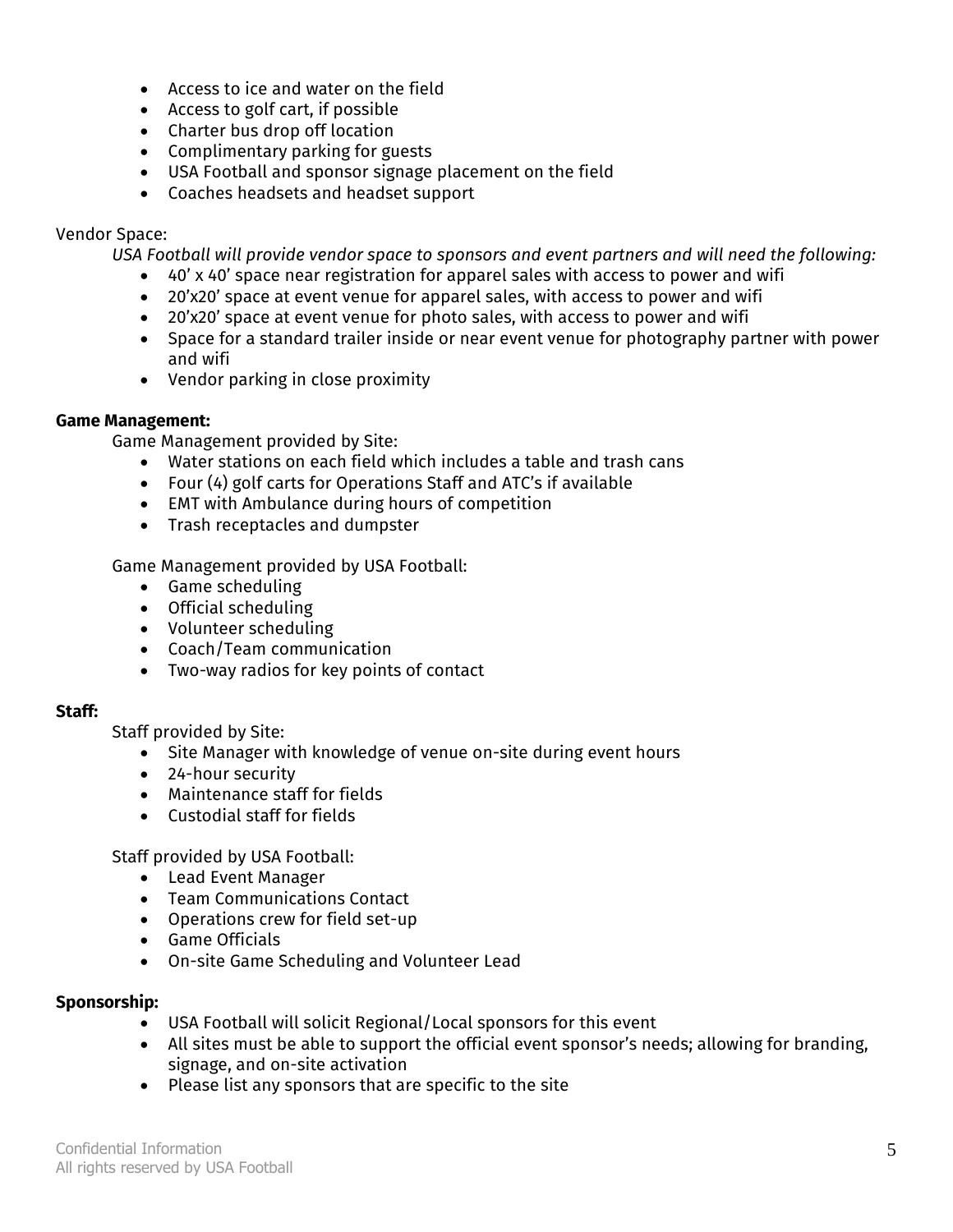- Access to ice and water on the field
- Access to golf cart, if possible
- Charter bus drop off location
- Complimentary parking for guests
- USA Football and sponsor signage placement on the field
- Coaches headsets and headset support

#### Vendor Space:

*USA Football will provide vendor space to sponsors and event partners and will need the following:*

- 40' x 40' space near registration for apparel sales with access to power and wifi
- 20'x20' space at event venue for apparel sales, with access to power and wifi
- 20'x20' space at event venue for photo sales, with access to power and wifi
- Space for a standard trailer inside or near event venue for photography partner with power and wifi
- Vendor parking in close proximity

#### **Game Management:**

Game Management provided by Site:

- Water stations on each field which includes a table and trash cans
- Four (4) golf carts for Operations Staff and ATC's if available
- EMT with Ambulance during hours of competition
- Trash receptacles and dumpster

Game Management provided by USA Football:

- Game scheduling
- Official scheduling
- Volunteer scheduling
- Coach/Team communication
- Two-way radios for key points of contact

#### **Staff:**

Staff provided by Site:

- Site Manager with knowledge of venue on-site during event hours
- 24-hour security
- Maintenance staff for fields
- Custodial staff for fields

Staff provided by USA Football:

- Lead Event Manager
- Team Communications Contact
- Operations crew for field set-up
- Game Officials
- On-site Game Scheduling and Volunteer Lead

#### **Sponsorship:**

- USA Football will solicit Regional/Local sponsors for this event
- All sites must be able to support the official event sponsor's needs; allowing for branding, signage, and on-site activation
- Please list any sponsors that are specific to the site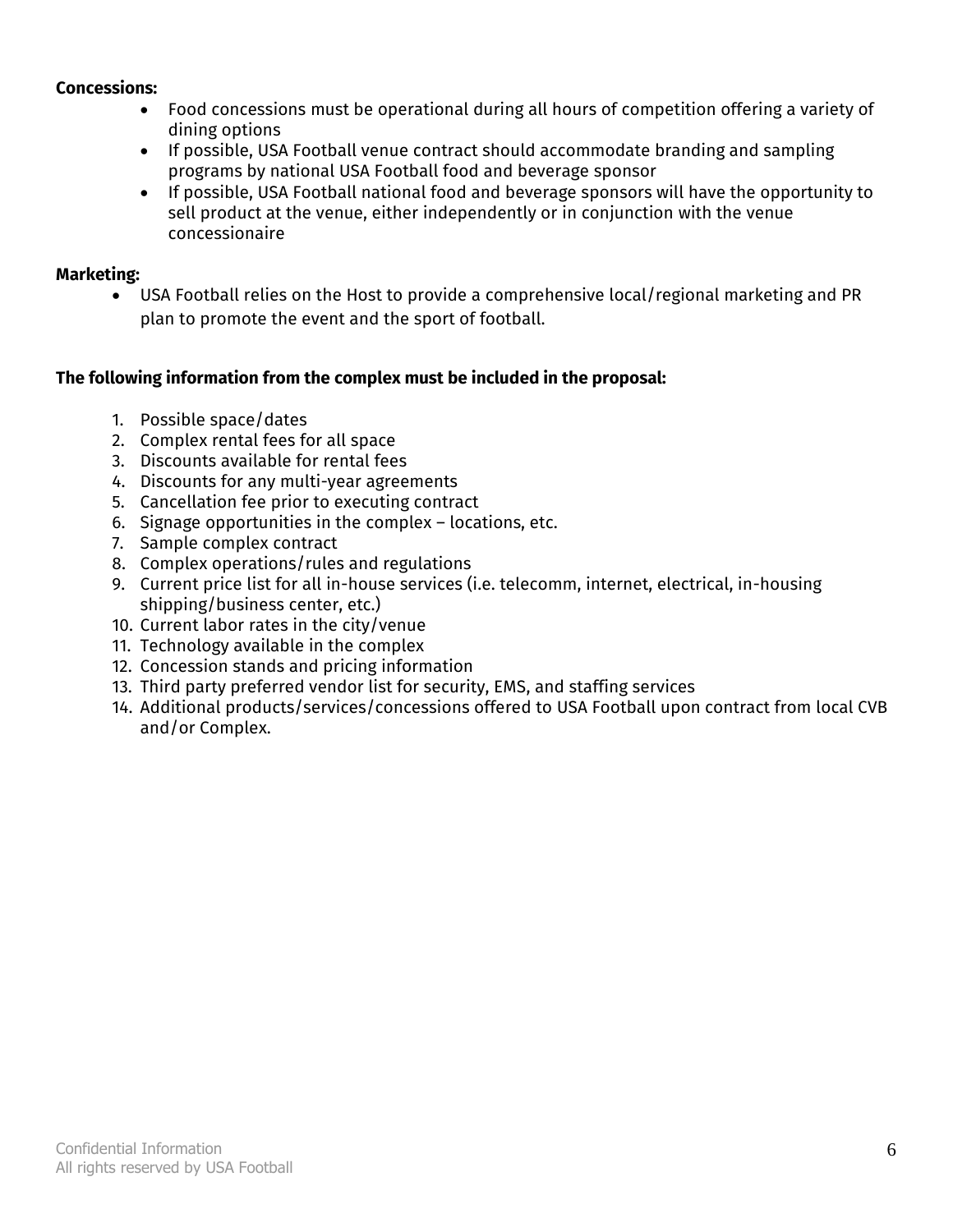#### **Concessions:**

- Food concessions must be operational during all hours of competition offering a variety of dining options
- If possible, USA Football venue contract should accommodate branding and sampling programs by national USA Football food and beverage sponsor
- If possible, USA Football national food and beverage sponsors will have the opportunity to sell product at the venue, either independently or in conjunction with the venue concessionaire

#### **Marketing:**

• USA Football relies on the Host to provide a comprehensive local/regional marketing and PR plan to promote the event and the sport of football.

# **The following information from the complex must be included in the proposal:**

- 1. Possible space/dates
- 2. Complex rental fees for all space
- 3. Discounts available for rental fees
- 4. Discounts for any multi-year agreements
- 5. Cancellation fee prior to executing contract
- 6. Signage opportunities in the complex locations, etc.
- 7. Sample complex contract
- 8. Complex operations/rules and regulations
- 9. Current price list for all in-house services (i.e. telecomm, internet, electrical, in-housing shipping/business center, etc.)
- 10. Current labor rates in the city/venue
- 11. Technology available in the complex
- 12. Concession stands and pricing information
- 13. Third party preferred vendor list for security, EMS, and staffing services
- 14. Additional products/services/concessions offered to USA Football upon contract from local CVB and/or Complex.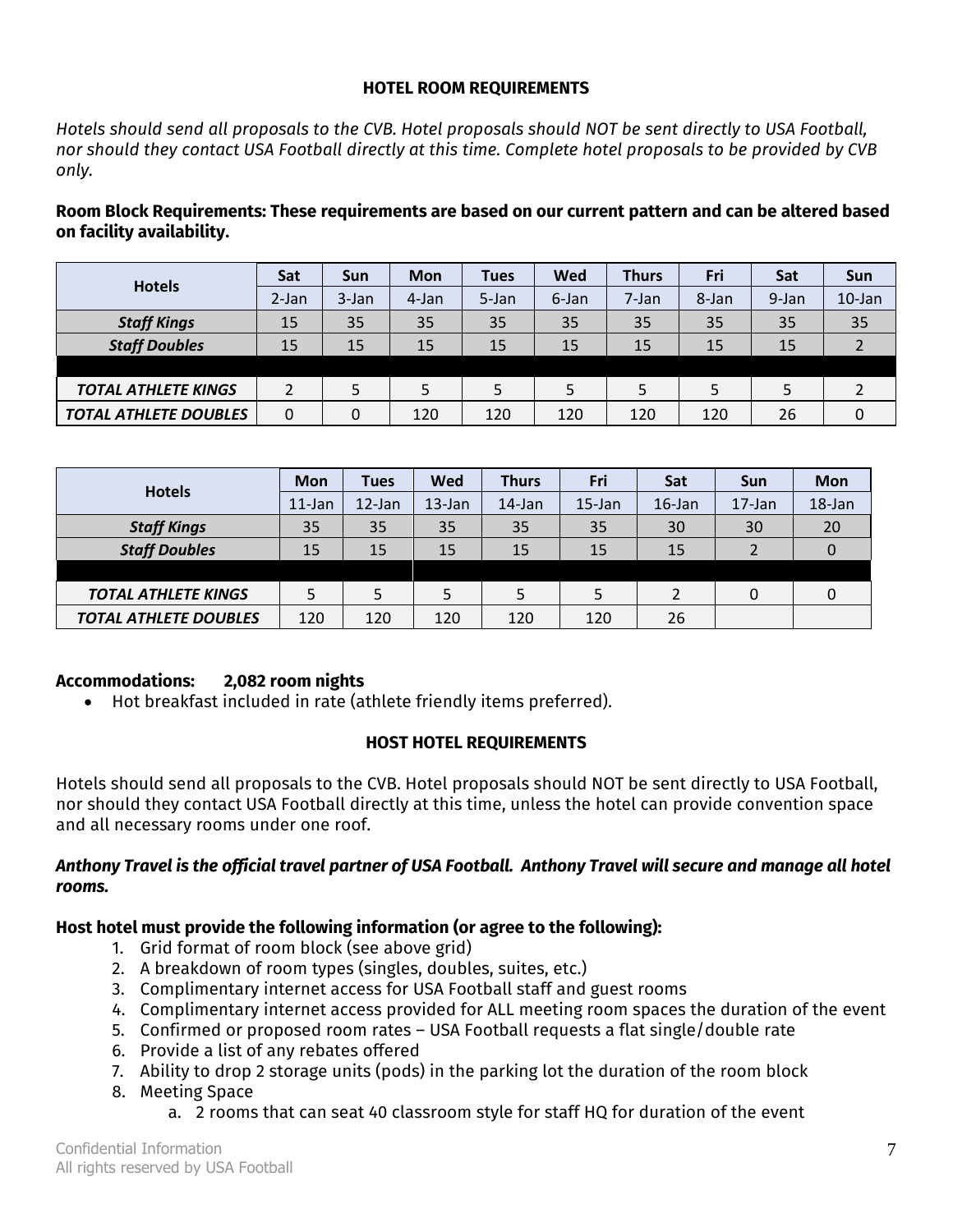#### **HOTEL ROOM REQUIREMENTS**

*Hotels should send all proposals to the CVB. Hotel proposals should NOT be sent directly to USA Football, nor should they contact USA Football directly at this time. Complete hotel proposals to be provided by CVB only.* 

**Room Block Requirements: These requirements are based on our current pattern and can be altered based on facility availability.**

| <b>Hotels</b>                | Sat   | Sun      | Mon   | <b>Tues</b> | Wed   | <b>Thurs</b> | Fri   | Sat   | <b>Sun</b> |
|------------------------------|-------|----------|-------|-------------|-------|--------------|-------|-------|------------|
|                              | 2-Jan | $3$ -Jan | 4-Jan | 5-Jan       | 6-Jan | 7-Jan        | 8-Jan | 9-Jan | $10$ -Jan  |
| <b>Staff Kings</b>           | 15    | 35       | 35    | 35          | 35    | 35           | 35    | 35    | 35         |
| <b>Staff Doubles</b>         | 15    | 15       | 15    | 15          | 15    | 15           | 15    | 15    |            |
|                              |       |          |       |             |       |              |       |       |            |
| <b>TOTAL ATHLETE KINGS</b>   |       | 5        |       | 5           | 5     |              | 5     |       |            |
| <b>TOTAL ATHLETE DOUBLES</b> | 0     | 0        | 120   | 120         | 120   | 120          | 120   | 26    |            |

| <b>Hotels</b>                | <b>Mon</b> | <b>Tues</b> | Wed       | <b>Thurs</b> | <b>Fri</b> | Sat       | <b>Sun</b> | <b>Mon</b> |
|------------------------------|------------|-------------|-----------|--------------|------------|-----------|------------|------------|
|                              | $11$ -Jan  | $12$ -Jan   | $13$ -Jan | 14-Jan       | $15$ -Jan  | $16$ -Jan | $17$ -Jan  | 18-Jan     |
| <b>Staff Kings</b>           | 35         | 35          | 35        | 35           | 35         | 30        | 30         | 20         |
| <b>Staff Doubles</b>         | 15         | 15          | 15        | 15           | 15         | 15        |            |            |
|                              |            |             |           |              |            |           |            |            |
| <b>TOTAL ATHLETE KINGS</b>   | 5          | 5           |           | 5            | 5          |           | 0          |            |
| <b>TOTAL ATHLETE DOUBLES</b> | 120        | 120         | 120       | 120          | 120        | 26        |            |            |

# **Accommodations: 2,082 room nights**

• Hot breakfast included in rate (athlete friendly items preferred).

# **HOST HOTEL REQUIREMENTS**

Hotels should send all proposals to the CVB. Hotel proposals should NOT be sent directly to USA Football, nor should they contact USA Football directly at this time, unless the hotel can provide convention space and all necessary rooms under one roof.

#### *Anthony Travel is the official travel partner of USA Football. Anthony Travel will secure and manage all hotel rooms.*

# **Host hotel must provide the following information (or agree to the following):**

- 1. Grid format of room block (see above grid)
- 2. A breakdown of room types (singles, doubles, suites, etc.)
- 3. Complimentary internet access for USA Football staff and guest rooms
- 4. Complimentary internet access provided for ALL meeting room spaces the duration of the event
- 5. Confirmed or proposed room rates USA Football requests a flat single/double rate
- 6. Provide a list of any rebates offered
- 7. Ability to drop 2 storage units (pods) in the parking lot the duration of the room block
- 8. Meeting Space
	- a. 2 rooms that can seat 40 classroom style for staff HQ for duration of the event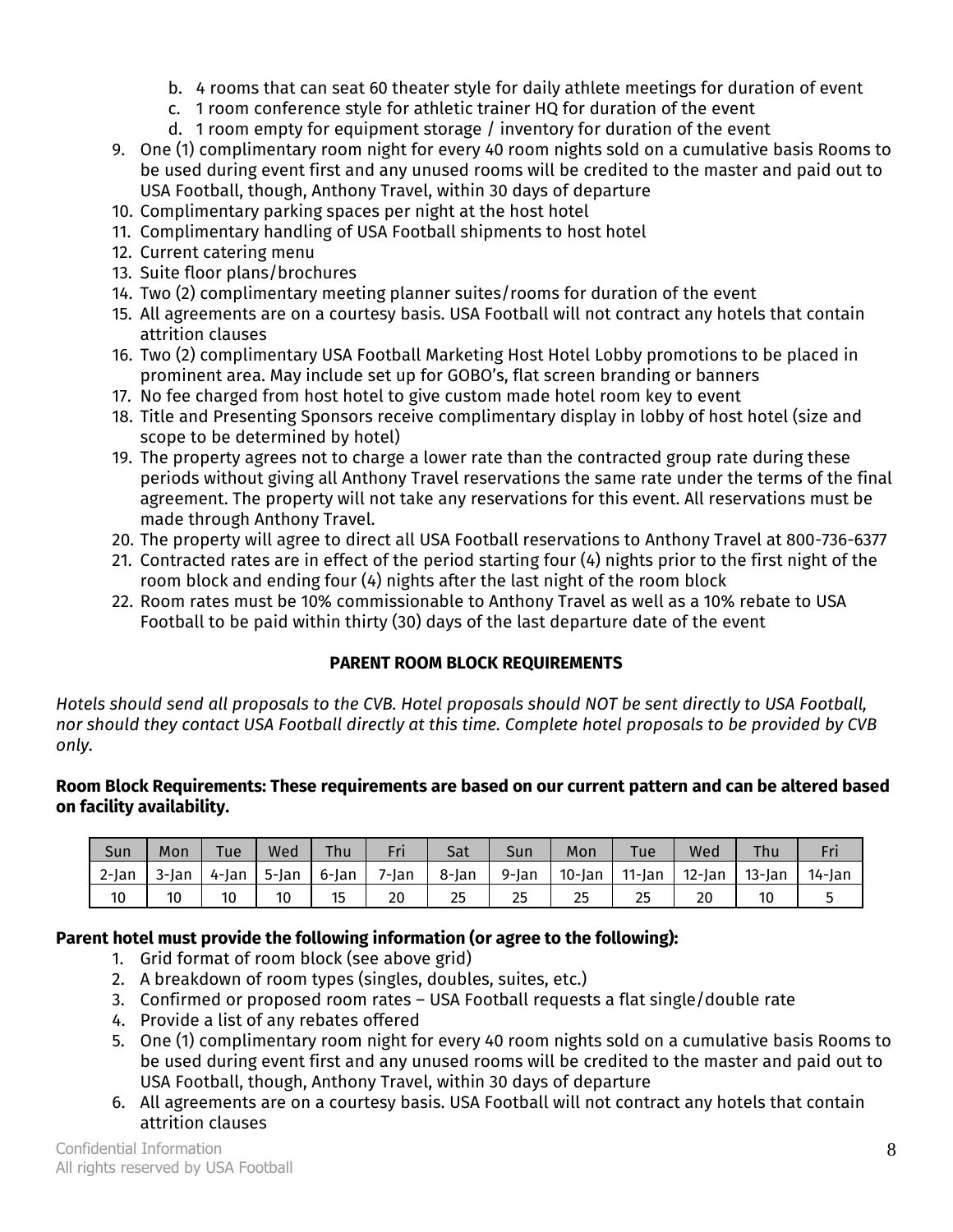- b. 4 rooms that can seat 60 theater style for daily athlete meetings for duration of event
- c. 1 room conference style for athletic trainer HQ for duration of the event
- d. 1 room empty for equipment storage / inventory for duration of the event
- 9. One (1) complimentary room night for every 40 room nights sold on a cumulative basis Rooms to be used during event first and any unused rooms will be credited to the master and paid out to USA Football, though, Anthony Travel, within 30 days of departure
- 10. Complimentary parking spaces per night at the host hotel
- 11. Complimentary handling of USA Football shipments to host hotel
- 12. Current catering menu
- 13. Suite floor plans/brochures
- 14. Two (2) complimentary meeting planner suites/rooms for duration of the event
- 15. All agreements are on a courtesy basis. USA Football will not contract any hotels that contain attrition clauses
- 16. Two (2) complimentary USA Football Marketing Host Hotel Lobby promotions to be placed in prominent area. May include set up for GOBO's, flat screen branding or banners
- 17. No fee charged from host hotel to give custom made hotel room key to event
- 18. Title and Presenting Sponsors receive complimentary display in lobby of host hotel (size and scope to be determined by hotel)
- 19. The property agrees not to charge a lower rate than the contracted group rate during these periods without giving all Anthony Travel reservations the same rate under the terms of the final agreement. The property will not take any reservations for this event. All reservations must be made through Anthony Travel.
- 20. The property will agree to direct all USA Football reservations to Anthony Travel at 800-736-6377
- 21. Contracted rates are in effect of the period starting four (4) nights prior to the first night of the room block and ending four (4) nights after the last night of the room block
- 22. Room rates must be 10% commissionable to Anthony Travel as well as a 10% rebate to USA Football to be paid within thirty (30) days of the last departure date of the event

# **PARENT ROOM BLOCK REQUIREMENTS**

*Hotels should send all proposals to the CVB. Hotel proposals should NOT be sent directly to USA Football, nor should they contact USA Football directly at this time. Complete hotel proposals to be provided by CVB only.* 

# **Room Block Requirements: These requirements are based on our current pattern and can be altered based on facility availability.**

| Sun   | Mon   | Tue   | Wed   | <b>Thu</b> | Eri<br>гн         | Sat   | Sun   | Mon       | <b>Tue</b> | Wed    | Thu       | тu.    |
|-------|-------|-------|-------|------------|-------------------|-------|-------|-----------|------------|--------|-----------|--------|
| 2-Jan | 3-lan | 4-lan | 5-lan | 6-lan      | <sup>7</sup> -Jan | 8-lan | 9-Jan | $10$ -Jan | $11$ -lan  | 12-lan | $13$ -lan | 14-Jan |
| 10    | 10    | 10    | 10    | כו         | 20                | 25    | 25    | 25        | 25         | 20     | 10        |        |

# **Parent hotel must provide the following information (or agree to the following):**

- 1. Grid format of room block (see above grid)
- 2. A breakdown of room types (singles, doubles, suites, etc.)
- 3. Confirmed or proposed room rates USA Football requests a flat single/double rate
- 4. Provide a list of any rebates offered
- 5. One (1) complimentary room night for every 40 room nights sold on a cumulative basis Rooms to be used during event first and any unused rooms will be credited to the master and paid out to USA Football, though, Anthony Travel, within 30 days of departure
- 6. All agreements are on a courtesy basis. USA Football will not contract any hotels that contain attrition clauses